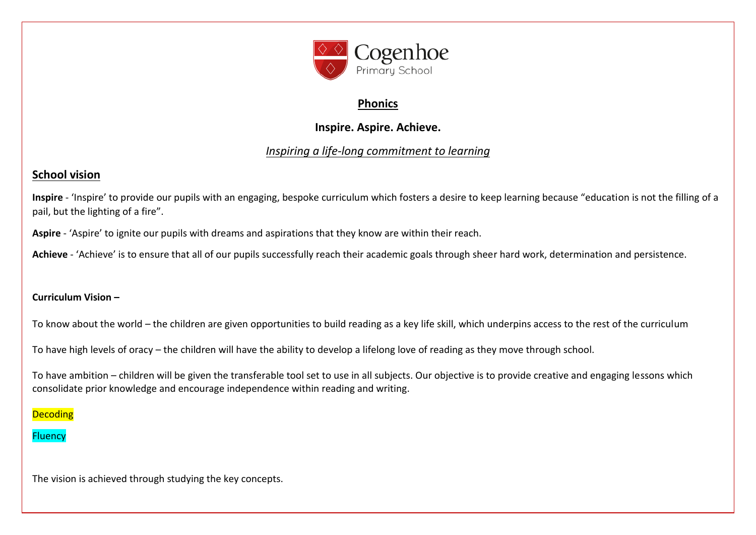

## **Phonics**

# **Inspire. Aspire. Achieve.**

# *Inspiring a life-long commitment to learning*

# **School vision**

**Inspire** - 'Inspire' to provide our pupils with an engaging, bespoke curriculum which fosters a desire to keep learning because "education is not the filling of a pail, but the lighting of a fire".

**Aspire** - 'Aspire' to ignite our pupils with dreams and aspirations that they know are within their reach.

**Achieve** - 'Achieve' is to ensure that all of our pupils successfully reach their academic goals through sheer hard work, determination and persistence.

## **Curriculum Vision –**

To know about the world – the children are given opportunities to build reading as a key life skill, which underpins access to the rest of the curriculum

To have high levels of oracy – the children will have the ability to develop a lifelong love of reading as they move through school.

To have ambition – children will be given the transferable tool set to use in all subjects. Our objective is to provide creative and engaging lessons which consolidate prior knowledge and encourage independence within reading and writing.

## **Decoding**

## **Fluency**

The vision is achieved through studying the key concepts.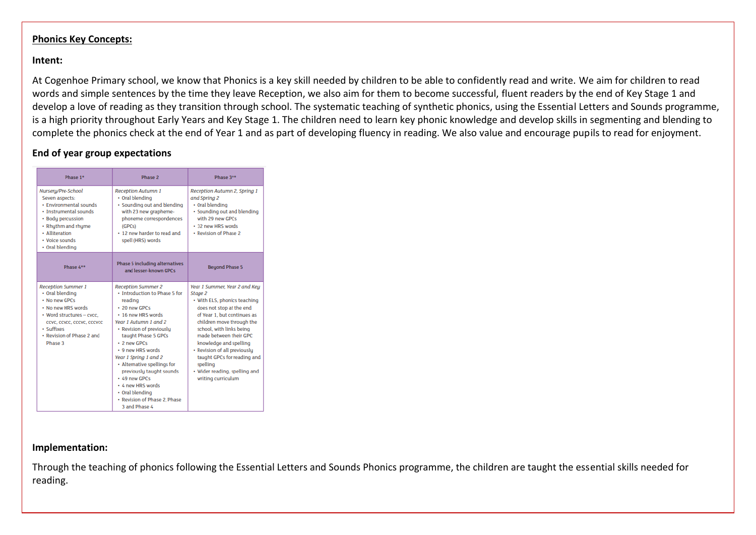#### **Phonics Key Concepts:**

#### **Intent:**

At Cogenhoe Primary school, we know that Phonics is a key skill needed by children to be able to confidently read and write. We aim for children to read words and simple sentences by the time they leave Reception, we also aim for them to become successful, fluent readers by the end of Key Stage 1 and develop a love of reading as they transition through school. The systematic teaching of synthetic phonics, using the Essential Letters and Sounds programme, is a high priority throughout Early Years and Key Stage 1. The children need to learn key phonic knowledge and develop skills in segmenting and blending to complete the phonics check at the end of Year 1 and as part of developing fluency in reading. We also value and encourage pupils to read for enjoyment.

#### **End of year group expectations**

| Phase 1*                                                                                                                                                                                             | Phase 2                                                                                                                                                                                                                                                                                                                                                                                                                           | Phase 3**                                                                                                                                                                                                                                                                                                                                                                          |
|------------------------------------------------------------------------------------------------------------------------------------------------------------------------------------------------------|-----------------------------------------------------------------------------------------------------------------------------------------------------------------------------------------------------------------------------------------------------------------------------------------------------------------------------------------------------------------------------------------------------------------------------------|------------------------------------------------------------------------------------------------------------------------------------------------------------------------------------------------------------------------------------------------------------------------------------------------------------------------------------------------------------------------------------|
| Nurseru/Pre-School<br>Seven aspects:<br>· Environmental sounds<br>· Instrumental sounds<br>• Body percussion<br>• Rhuthm and rhume<br>· Alliteration<br>· Voice sounds<br>• Oral blending            | <b>Reception Autumn 1</b><br>• Oral blending<br>· Sounding out and blending<br>with 23 new grapheme-<br>phoneme correspondences<br>(GPCs)<br>• 12 new harder to read and<br>spell (HRS) words                                                                                                                                                                                                                                     | Reception Autumn 2, Spring 1<br>and Spring 2<br>· Oral blending<br>· Sounding out and blending<br>with 29 new GPCs<br>· 32 new HRS words<br>• Revision of Phase 2                                                                                                                                                                                                                  |
| Phase 4**                                                                                                                                                                                            | Phase 5 including alternatives<br>and lesser-known GPCs                                                                                                                                                                                                                                                                                                                                                                           | <b>Beyond Phase 5</b>                                                                                                                                                                                                                                                                                                                                                              |
| <b>Reception Summer 1</b><br>• Oral blending<br>• No new GPCs<br>. No new HRS words<br>• Word structures - cycc.<br>ccvc, ccvcc, cccvc, cccvcc<br>· Suffixes<br>• Revision of Phase 2 and<br>Phase 3 | <b>Reception Summer 2</b><br>• Introduction to Phase 5 for<br>reading<br>+ 20 new GPCs<br>. 16 new HRS words<br>Year 1 Autumn 1 and 2<br>• Revision of previouslu<br>taught Phase 5 GPCs<br>$\cdot$ 2 new GPCs<br>. 9 new HRS words<br>Year 1 Spring 1 and 2<br>• Alternative spellings for<br>previously taught sounds<br>+ 49 new GPCs<br>· 4 new HRS words<br>• Oral blending<br>• Revision of Phase 2. Phase<br>3 and Phase 4 | Year 1 Summer, Year 2 and Key<br>Stage 2<br>• With ELS, phonics teaching<br>does not stop at the end<br>of Year 1, but continues as<br>children move through the<br>school, with links being<br>made between their GPC<br>knowledge and spelling<br>· Revision of all previously<br>taught GPCs for reading and<br>spelling<br>• Wider reading, spelling and<br>writing curriculum |

#### **Implementation:**

Through the teaching of phonics following the Essential Letters and Sounds Phonics programme, the children are taught the essential skills needed for reading.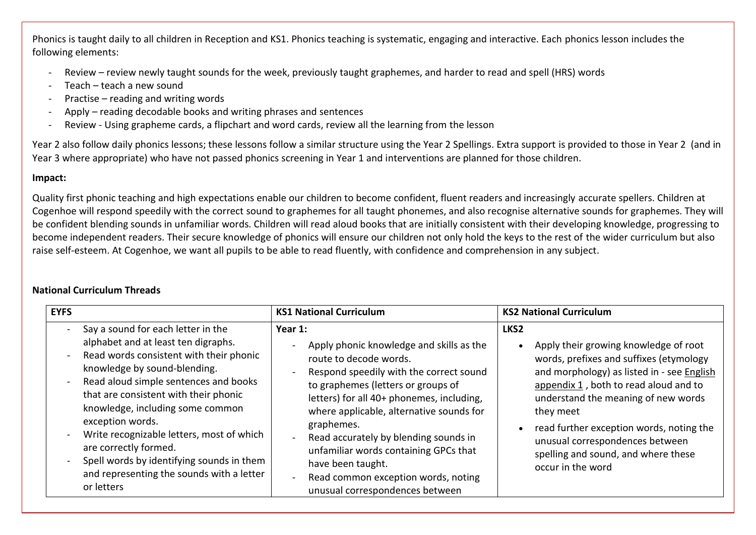Phonics is taught daily to all children in Reception and KS1. Phonics teaching is systematic, engaging and interactive. Each phonics lesson includes the following elements:

- Review review newly taught sounds for the week, previously taught graphemes, and harder to read and spell (HRS) words
- Teach teach a new sound
- Practise reading and writing words
- Apply reading decodable books and writing phrases and sentences
- Review Using grapheme cards, a flipchart and word cards, review all the learning from the lesson

Year 2 also follow daily phonics lessons; these lessons follow a similar structure using the Year 2 Spellings. Extra support is provided to those in Year 2 (and in Year 3 where appropriate) who have not passed phonics screening in Year 1 and interventions are planned for those children.

## **Impact:**

Quality first phonic teaching and high expectations enable our children to become confident, fluent readers and increasingly accurate spellers. Children at Cogenhoe will respond speedily with the correct sound to graphemes for all taught phonemes, and also recognise alternative sounds for graphemes. They will be confident blending sounds in unfamiliar words. Children will read aloud books that are initially consistent with their developing knowledge, progressing to become independent readers. Their secure knowledge of phonics will ensure our children not only hold the keys to the rest of the wider curriculum but also raise self-esteem. At Cogenhoe, we want all pupils to be able to read fluently, with confidence and comprehension in any subject.

## **National Curriculum Threads**

| <b>EYFS</b>                                                                                                                                                                                                                                                                                                                                                                                                                                                                                                                                                                                | <b>KS1 National Curriculum</b>                                                                                                                                                                                                                                                                                                                                                                                                                                                               | <b>KS2 National Curriculum</b>                                                                                                                                                                                                                                                                                                                                                                                          |
|--------------------------------------------------------------------------------------------------------------------------------------------------------------------------------------------------------------------------------------------------------------------------------------------------------------------------------------------------------------------------------------------------------------------------------------------------------------------------------------------------------------------------------------------------------------------------------------------|----------------------------------------------------------------------------------------------------------------------------------------------------------------------------------------------------------------------------------------------------------------------------------------------------------------------------------------------------------------------------------------------------------------------------------------------------------------------------------------------|-------------------------------------------------------------------------------------------------------------------------------------------------------------------------------------------------------------------------------------------------------------------------------------------------------------------------------------------------------------------------------------------------------------------------|
| Say a sound for each letter in the<br>$\overline{\phantom{a}}$<br>alphabet and at least ten digraphs.<br>Read words consistent with their phonic<br>$\blacksquare$<br>knowledge by sound-blending.<br>Read aloud simple sentences and books<br>$\blacksquare$<br>that are consistent with their phonic<br>knowledge, including some common<br>exception words.<br>Write recognizable letters, most of which<br>$\overline{\phantom{a}}$<br>are correctly formed.<br>Spell words by identifying sounds in them<br>$\blacksquare$<br>and representing the sounds with a letter<br>or letters | Year 1:<br>Apply phonic knowledge and skills as the<br>route to decode words.<br>Respond speedily with the correct sound<br>to graphemes (letters or groups of<br>letters) for all 40+ phonemes, including,<br>where applicable, alternative sounds for<br>graphemes.<br>Read accurately by blending sounds in<br>$\sim$<br>unfamiliar words containing GPCs that<br>have been taught.<br>Read common exception words, noting<br>$\overline{\phantom{0}}$<br>unusual correspondences between | LKS <sub>2</sub><br>Apply their growing knowledge of root<br>$\bullet$<br>words, prefixes and suffixes (etymology<br>and morphology) as listed in - see English<br>appendix $1$ , both to read aloud and to<br>understand the meaning of new words<br>they meet<br>read further exception words, noting the<br>$\bullet$<br>unusual correspondences between<br>spelling and sound, and where these<br>occur in the word |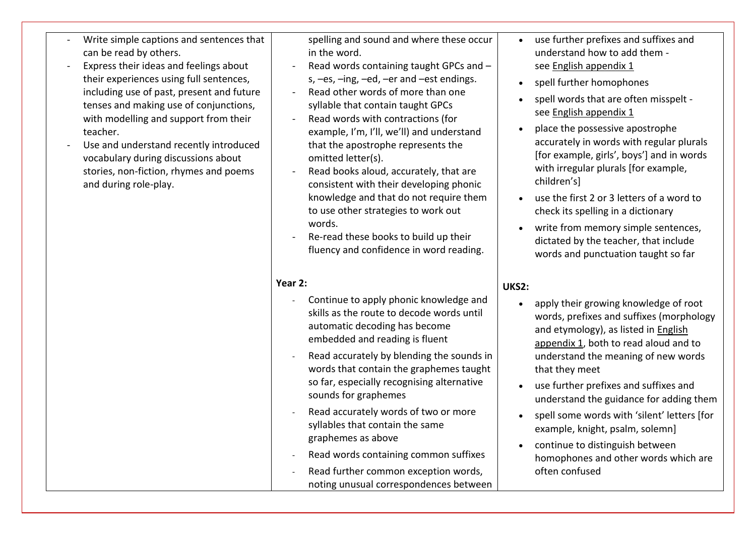- Write simple captions and sentences that can be read by others.
- Express their ideas and feelings about their experiences using full sentences, including use of past, present and future tenses and making use of conjunctions, with modelling and support from their teacher.
- Use and understand recently introduced vocabulary during discussions about stories, non-fiction, rhymes and poems and during role-play.

spelling and sound and where these occur in the word.

- Read words containing taught GPCs and s, –es, –ing, –ed, –er and –est endings.
- Read other words of more than one syllable that contain taught GPCs
- Read words with contractions (for example, I'm, I'll, we'll) and understand that the apostrophe represents the omitted letter(s).
- Read books aloud, accurately, that are consistent with their developing phonic knowledge and that do not require them to use other strategies to work out words.
- Re-read these books to build up their fluency and confidence in word reading.

### **Year 2:**

- Continue to apply phonic knowledge and skills as the route to decode words until automatic decoding has become embedded and reading is fluent
- Read accurately by blending the sounds in words that contain the graphemes taught so far, especially recognising alternative sounds for graphemes
- Read accurately words of two or more syllables that contain the same graphemes as above
- Read words containing common suffixes
- Read further common exception words, noting unusual correspondences between
- use further prefixes and suffixes and understand how to add them see [English appendix 1](https://www.gov.uk/government/uploads/system/uploads/attachment_data/file/239784/English_Appendix_1_-_Spelling.pdf)
- spell further homophones
- spell words that are often misspelt see [English appendix 1](https://www.gov.uk/government/uploads/system/uploads/attachment_data/file/239784/English_Appendix_1_-_Spelling.pdf)
- place the possessive apostrophe accurately in words with regular plurals [for example, girls', boys'] and in words with irregular plurals [for example, children's]
- use the first 2 or 3 letters of a word to check its spelling in a dictionary
- write from memory simple sentences, dictated by the teacher, that include words and punctuation taught so far

## **UKS2:**

- apply their growing knowledge of root words, prefixes and suffixes (morphology and etymology), as listed in [English](https://www.gov.uk/government/uploads/system/uploads/attachment_data/file/239784/English_Appendix_1_-_Spelling.pdf)  [appendix 1,](https://www.gov.uk/government/uploads/system/uploads/attachment_data/file/239784/English_Appendix_1_-_Spelling.pdf) both to read aloud and to understand the meaning of new words that they meet
- use further prefixes and suffixes and understand the guidance for adding them
- spell some words with 'silent' letters [for example, knight, psalm, solemn]
- continue to distinguish between homophones and other words which are often confused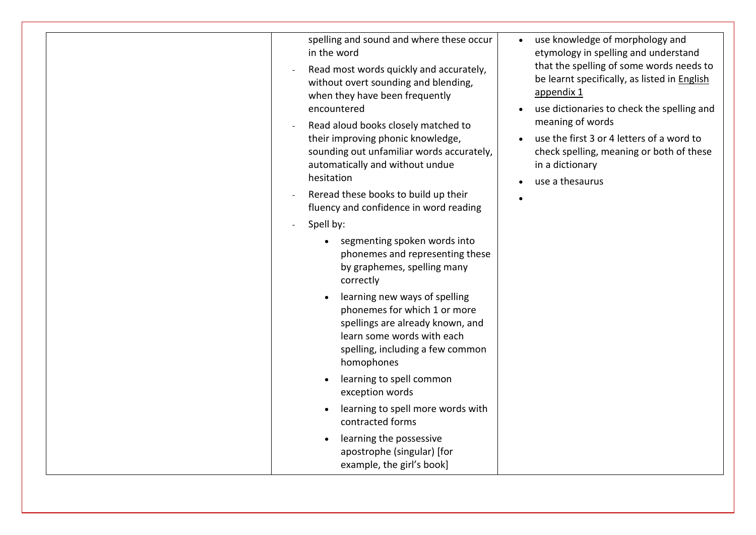| spelling and sound and where these occur<br>in the word<br>Read most words quickly and accurately,<br>without overt sounding and blending,<br>when they have been frequently<br>encountered<br>Read aloud books closely matched to<br>their improving phonic knowledge,<br>sounding out unfamiliar words accurately,<br>automatically and without undue<br>hesitation<br>Reread these books to build up their<br>fluency and confidence in word reading<br>Spell by: | use knowledge of morphology and<br>$\bullet$<br>etymology in spelling and understand<br>that the spelling of some words needs to<br>be learnt specifically, as listed in English<br>appendix 1<br>use dictionaries to check the spelling and<br>meaning of words<br>use the first 3 or 4 letters of a word to<br>check spelling, meaning or both of these<br>in a dictionary<br>use a thesaurus |
|----------------------------------------------------------------------------------------------------------------------------------------------------------------------------------------------------------------------------------------------------------------------------------------------------------------------------------------------------------------------------------------------------------------------------------------------------------------------|-------------------------------------------------------------------------------------------------------------------------------------------------------------------------------------------------------------------------------------------------------------------------------------------------------------------------------------------------------------------------------------------------|
| segmenting spoken words into<br>phonemes and representing these<br>by graphemes, spelling many<br>correctly                                                                                                                                                                                                                                                                                                                                                          |                                                                                                                                                                                                                                                                                                                                                                                                 |
| learning new ways of spelling<br>phonemes for which 1 or more<br>spellings are already known, and<br>learn some words with each<br>spelling, including a few common<br>homophones                                                                                                                                                                                                                                                                                    |                                                                                                                                                                                                                                                                                                                                                                                                 |
| learning to spell common<br>exception words                                                                                                                                                                                                                                                                                                                                                                                                                          |                                                                                                                                                                                                                                                                                                                                                                                                 |
| learning to spell more words with<br>contracted forms                                                                                                                                                                                                                                                                                                                                                                                                                |                                                                                                                                                                                                                                                                                                                                                                                                 |
| learning the possessive<br>apostrophe (singular) [for<br>example, the girl's book]                                                                                                                                                                                                                                                                                                                                                                                   |                                                                                                                                                                                                                                                                                                                                                                                                 |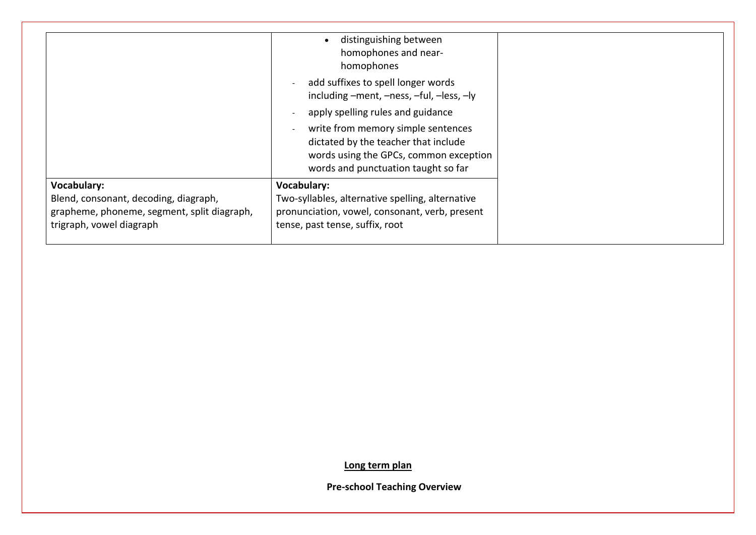|                                                                                                                                        | distinguishing between<br>homophones and near-<br>homophones                                                                                                                            |
|----------------------------------------------------------------------------------------------------------------------------------------|-----------------------------------------------------------------------------------------------------------------------------------------------------------------------------------------|
|                                                                                                                                        | add suffixes to spell longer words<br>$\overline{\phantom{a}}$<br>including -ment, -ness, -ful, -less, -ly                                                                              |
|                                                                                                                                        | apply spelling rules and guidance                                                                                                                                                       |
|                                                                                                                                        | write from memory simple sentences<br>$\overline{\phantom{a}}$<br>dictated by the teacher that include<br>words using the GPCs, common exception<br>words and punctuation taught so far |
| <b>Vocabulary:</b><br>Blend, consonant, decoding, diagraph,<br>grapheme, phoneme, segment, split diagraph,<br>trigraph, vowel diagraph | <b>Vocabulary:</b><br>Two-syllables, alternative spelling, alternative<br>pronunciation, vowel, consonant, verb, present<br>tense, past tense, suffix, root                             |

**Long term plan**

**Pre-school Teaching Overview**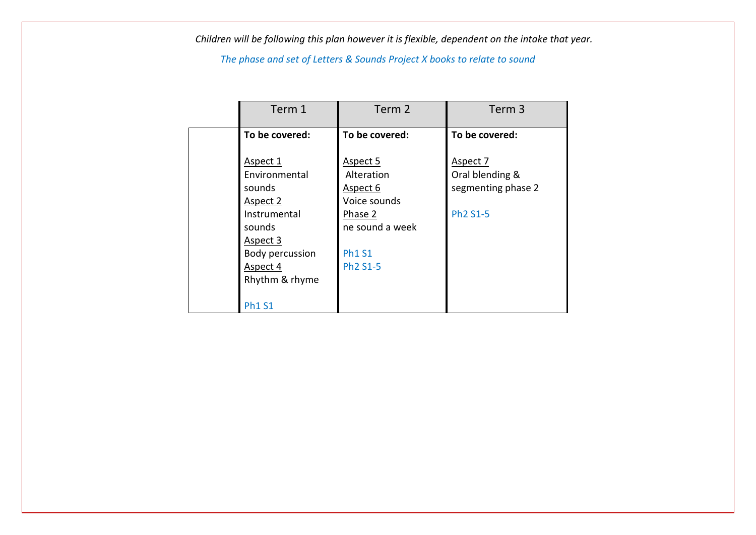*Children will be following this plan however it is flexible, dependent on the intake that year.*

*The phase and set of Letters & Sounds Project X books to relate to sound*

| Term 1                                         | Term 2                                             | Term <sub>3</sub>                                 |
|------------------------------------------------|----------------------------------------------------|---------------------------------------------------|
| To be covered:                                 | To be covered:                                     | To be covered:                                    |
| Aspect 1<br>Environmental<br>sounds            | Aspect 5<br>Alteration<br>Aspect 6                 | Aspect 7<br>Oral blending &<br>segmenting phase 2 |
| Aspect 2<br>Instrumental<br>sounds<br>Aspect 3 | Voice sounds<br>Phase 2<br>ne sound a week         | Ph <sub>2</sub> S <sub>1</sub> -5                 |
| Body percussion<br>Aspect 4<br>Rhythm & rhyme  | <b>Ph1 S1</b><br>Ph <sub>2</sub> S <sub>1</sub> -5 |                                                   |
| <b>Ph1 S1</b>                                  |                                                    |                                                   |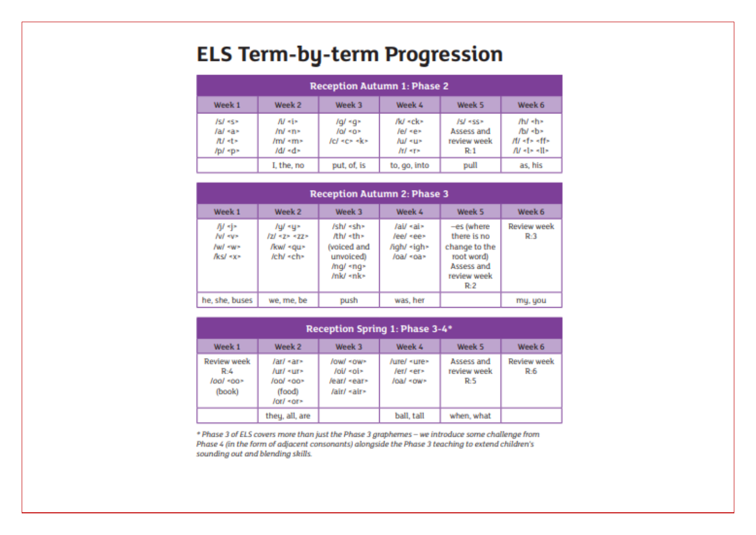# **ELS Term-by-term Progression**

| <b>Reception Autumn 1: Phase 2</b>   |                                               |                                       |                                                      |                                              |                                                                                    |
|--------------------------------------|-----------------------------------------------|---------------------------------------|------------------------------------------------------|----------------------------------------------|------------------------------------------------------------------------------------|
| Week 1                               | Week 2                                        | Week 3                                | Week 4                                               | Week 5                                       | Week 6                                                                             |
| ISI «S»<br>fail sax<br>限セ<br>/p/ «p» | Af six<br>And sme.<br>/m/ <m><br/>/d/ «d»</m> | lgl «g»<br>$101$ $-0$<br>fel sex skis | /k/ «ck»<br>fel sex<br>Auf sur-<br><b>Arl series</b> | ISI «SS»<br>Assess and<br>review week<br>RAI | thi she<br>/b/ <br<br><b>#Fails aff&gt;</b><br/><math>AU</math> site site.</br<br> |
|                                      | I. the, no                                    | put, of, is                           | to, go, into                                         | pull                                         | as, his                                                                            |

| <b>Reception Autumn 2: Phase 3</b>                       |                                                      |                                                                                                                                                                                                                                                                                                                       |                                                             |                                                                      |                                                                                                     |                   |
|----------------------------------------------------------|------------------------------------------------------|-----------------------------------------------------------------------------------------------------------------------------------------------------------------------------------------------------------------------------------------------------------------------------------------------------------------------|-------------------------------------------------------------|----------------------------------------------------------------------|-----------------------------------------------------------------------------------------------------|-------------------|
| Week 1                                                   | Week 6                                               |                                                                                                                                                                                                                                                                                                                       |                                                             |                                                                      |                                                                                                     |                   |
| 市中<br><b>I'vil</b> some<br><b>Paul House</b><br>fkst «x» | Auf «u»<br>$121 - 22 = 22$<br>/kw/ «qu»<br>teht «ch» | /sh/ «sh»<br>Ah/ <th><br/>(voiced and<br/>unvoiced)<br/>/nq/ <nq><br/>mk/ «nk»</nq></th> <th>/ai/ <ai><br/>leel sees.<br/>/igh/ -tigh&gt;<br/>/oa/ <oa></oa></ai></th> <th>-es (where<br/>there is no<br/>change to the<br/>root word)<br/>Assess and<br/>review week<br/><b>R.2</b></th> <th>Review week<br/>R3</th> | <br>(voiced and<br>unvoiced)<br>/nq/ <nq><br/>mk/ «nk»</nq> | /ai/ <ai><br/>leel sees.<br/>/igh/ -tigh&gt;<br/>/oa/ <oa></oa></ai> | -es (where<br>there is no<br>change to the<br>root word)<br>Assess and<br>review week<br><b>R.2</b> | Review week<br>R3 |
| he, she, buses                                           | we, me, be                                           | push                                                                                                                                                                                                                                                                                                                  | was, her                                                    |                                                                      | my, you                                                                                             |                   |

| Reception Spring 1: Phase 3-4*                   |                                                            |                                                      |                                       |                                  |                          |
|--------------------------------------------------|------------------------------------------------------------|------------------------------------------------------|---------------------------------------|----------------------------------|--------------------------|
| Week 1                                           | Week 2                                                     | Week 3                                               | Week 4                                | Week 5                           | Week 6                   |
| <b>Review week</b><br>R-4<br>lool soor<br>(book) | Jar/ sar»<br>Air/ sur><br>roor loot<br>(food)<br>/or/ +or> | lowl sow><br>foll sole<br>lear/ «ear»<br>fair/ «air» | /ure/ «ure»<br>ferf ser»<br>loal «ow» | Assess and<br>review week<br>RS. | <b>Review week</b><br>R6 |
|                                                  | they, all, are                                             |                                                      | ball, tall                            | when, what                       |                          |

\* Phase 3 of ELS covers more than just the Phase 3 graphemes - we introduce some challenge from Phase 4 (in the form of adjacent consonants) alongside the Phase 3 teaching to extend children's sounding out and blending skills.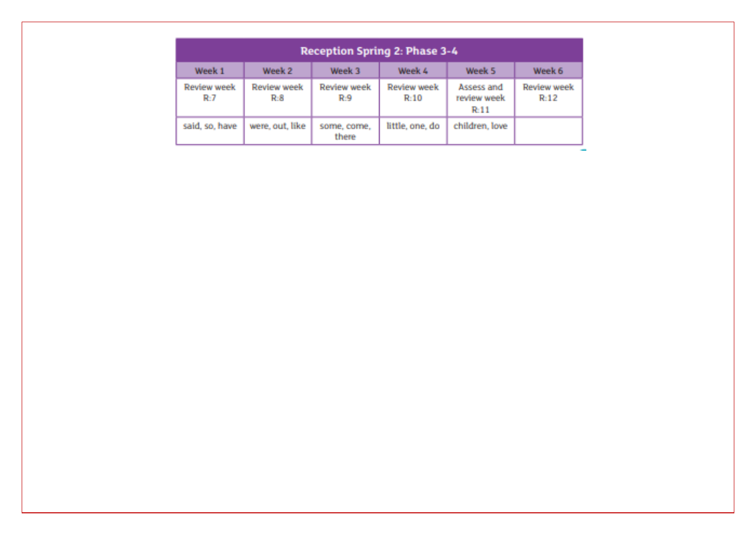| Reception Spring 2: Phase 3-4 |                    |                      |                     |                                   |                     |
|-------------------------------|--------------------|----------------------|---------------------|-----------------------------------|---------------------|
| Week 1                        | Week 2             | Week 3               | Week 4              | Week 5                            | Week 6              |
| Review week<br>RU7            | Review week<br>R.S | Review week<br>R.9   | Review week<br>R:10 | Assess and<br>review week<br>R-11 | Review week<br>Rd 2 |
| said, so, have                | were, out, like    | some, come,<br>there | little, one, do     | children, love                    |                     |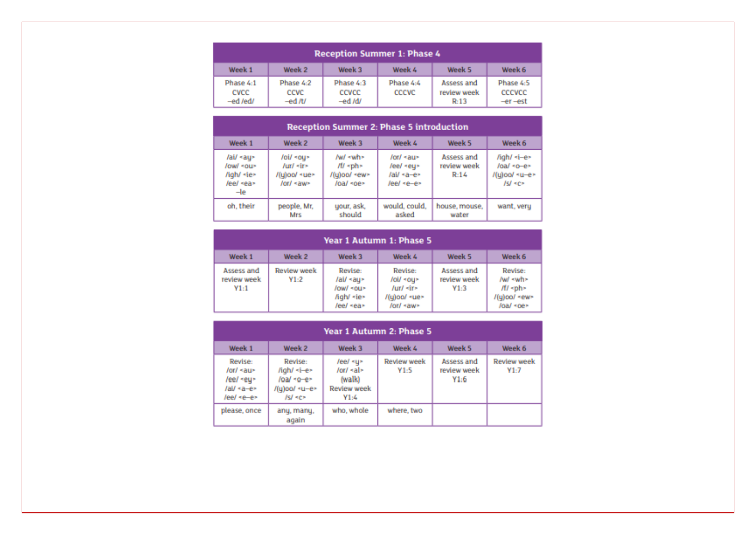| <b>Reception Summer 1: Phase 4</b> |                              |                                |                           |                                   |                                |
|------------------------------------|------------------------------|--------------------------------|---------------------------|-----------------------------------|--------------------------------|
| Week 1                             | Week 2                       | Week 3                         | Week 4                    | Week 5                            | Week 6                         |
| Phase 4:1<br>CVCC<br>-ed /ed/      | Phase 4:2<br>CCVC<br>-ed /t/ | Phase 4:3<br>CCVCC<br>$-ed/dl$ | Phase 4:4<br><b>CCCVC</b> | Assess and<br>review week<br>R:13 | Phase 4:5<br>CCCVCC<br>-er-est |

| <b>Reception Summer 2: Phase 5 introduction</b>                                        |                                                                                           |                                                                                   |                                                       |                                   |                                                                                                                 |
|----------------------------------------------------------------------------------------|-------------------------------------------------------------------------------------------|-----------------------------------------------------------------------------------|-------------------------------------------------------|-----------------------------------|-----------------------------------------------------------------------------------------------------------------|
| Week 1                                                                                 | Week 2                                                                                    | Week 3                                                                            | Week 4                                                | Week 5                            | Week 6                                                                                                          |
| /ai/ <au><br/>/ow/ <ou><br/>/igh/ -ie&gt;<br/>leel kear<br/><math>-1e</math></ou></au> | roil *ou*<br>Jur/ <ir><br/><math>I(u)</math>oo<math>I</math> «ue»<br/>/or/ <aw></aw></ir> | /w/ <wh><br/><math>M \sim ph</math><br/>/(u)oo/ <ew><br/>/oa/ <oe></oe></ew></wh> | $for f$ «au»<br>/ee/ «eu»<br>/ai/ «a-e»<br>leel «e-e» | Assess and<br>review week<br>R:14 | /igh/ -i-e><br>/oa/ <o-e><br/><math>I(u)</math>oo/ <math>\prec u</math>-e&gt;<br/><math>ISI \leq C</math></o-e> |
| oh, their                                                                              | people, Mr.<br>Mrs                                                                        | your, ask.<br>should                                                              | would, could,<br>asked                                | house, mouse,<br>water            | want, very                                                                                                      |

|                                   | Year 1 Autumn 1: Phase 5   |                                                                                     |                                                                               |                                   |                                                                                             |
|-----------------------------------|----------------------------|-------------------------------------------------------------------------------------|-------------------------------------------------------------------------------|-----------------------------------|---------------------------------------------------------------------------------------------|
| Week 1                            | Week 2                     | Week 3                                                                              | Week 4                                                                        | Week 5                            | Week 6                                                                                      |
| Assess and<br>review week<br>Y1:1 | <b>Review week</b><br>Y1:2 | Revise:<br>/ai/ <au><br/>/ow/ <ou><br/>high/ <ie><br/>/ee/ <ea></ea></ie></ou></au> | Revise:<br>/oi/ *ou><br>$I$ ur/ $\prec$ ir»<br>/(y)oo/ «ue»<br>/or/ <aw></aw> | Assess and<br>review week<br>Y1:3 | Revise:<br>$Iwd$ <wh><br/><math>M</math> -ph-<br/>/(y)oo/ <ew><br/>/oa/ <oe></oe></ew></wh> |

| Year 1 Autumn 2: Phase 5                                                                      |                                                                                                                                           |                                                                                                                                   |                            |                                   |                            |
|-----------------------------------------------------------------------------------------------|-------------------------------------------------------------------------------------------------------------------------------------------|-----------------------------------------------------------------------------------------------------------------------------------|----------------------------|-----------------------------------|----------------------------|
| Week 1                                                                                        | Week 2                                                                                                                                    | Week 3                                                                                                                            | Week 4                     | Week 5                            | Week 6                     |
| Revise:<br>$/$ or $/$ $\prec$ au $\sim$<br>/ee/ <ey><br/>/ai/ <a-e><br/>leel «e-e»</a-e></ey> | Revise:<br>/igh/ <i-e><br/>/oa/ <o-e><br/><math>I(u)</math>oo/ <math>\leq u</math>-e&gt;<br/><math>1st</math> <math>se</math></o-e></i-e> | /ee/ <u><br/><math>/</math>or<math>/</math> <math>\prec</math>al<math>\succ</math><br/>(walk)<br/><b>Review week</b><br/>Y1:4</u> | <b>Review week</b><br>Y1:5 | Assess and<br>review week<br>Y1:6 | <b>Review week</b><br>Y1:7 |
| please, once                                                                                  | any, many,<br>again                                                                                                                       | who, whole                                                                                                                        | where, two                 |                                   |                            |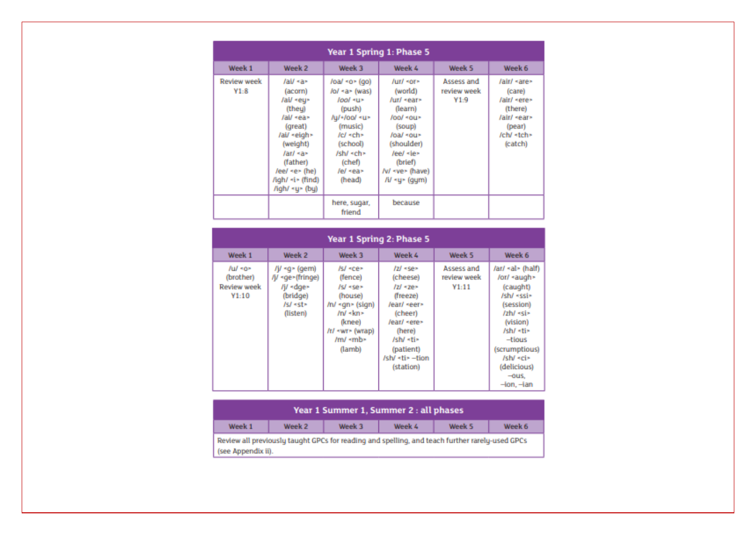|                            | Year 1 Spring 1: Phase 5                                                                                                                                                                                    |                                                                                                                                                                                                        |                                                                                                                                                                                                                                                   |                                   |                                                                                                                               |
|----------------------------|-------------------------------------------------------------------------------------------------------------------------------------------------------------------------------------------------------------|--------------------------------------------------------------------------------------------------------------------------------------------------------------------------------------------------------|---------------------------------------------------------------------------------------------------------------------------------------------------------------------------------------------------------------------------------------------------|-----------------------------------|-------------------------------------------------------------------------------------------------------------------------------|
| Week 1                     | Week 2                                                                                                                                                                                                      | Week 3                                                                                                                                                                                                 | Week 4                                                                                                                                                                                                                                            | Week 5                            | Week 6                                                                                                                        |
| <b>Review week</b><br>Y1:8 | /ai/ <a><br/>(acom)<br/>/ai/ «eu»<br/>(they)<br/>/ai/ «ea»<br/>(great)<br/>/ai/ «eigh»<br/>(weight)<br/>far/ <a><br/>(father)<br/>/ee/ <e> (he)<br/>/igh/ <i> (find)<br/>/igh/ <u> (bu)</u></i></e></a></a> | $load \le 0$ (go)<br>/o/ <a> (was)<br/>ru&gt; lool<br/>(push)<br/>/u/+/oo/ -u&gt;<br/>(music)<br/><math>/c/</math> «<math>ch</math>»<br/>(school)<br/>/sh/ «ch»<br/>(chef)<br/>lel «ea»<br/>(head)</a> | /ur/ <or><br/>(world)<br/>/ur/ <ear><br/>(learn)<br/><math>1001</math> *0U*<br/>(soup)<br/>/oa/ <ou><br/>(shoulder)<br/>leel sie»<br/>(brief)<br/>/v/ <ve> (have)<br/><math>I</math>i/ <math>\triangleleft</math>u&gt; (qum)</ve></ou></ear></or> | Assess and<br>review week<br>Y1:9 | /air/ <are><br/>(care)<br/>/air/ <ere><br/>(there)<br/>/air/ <ear><br/>(pear)<br/>/ch/ -tch&gt;<br/>(catch)</ear></ere></are> |
|                            |                                                                                                                                                                                                             | here, sugar,<br>friend                                                                                                                                                                                 | because                                                                                                                                                                                                                                           |                                   |                                                                                                                               |

| Year 1 Spring 2: Phase 5                              |                                                                                                                               |                                                                                                                                                                                                             |                                                                                                                                                                                                        |                                    |                                                                                                                                                                                                                                                                            |
|-------------------------------------------------------|-------------------------------------------------------------------------------------------------------------------------------|-------------------------------------------------------------------------------------------------------------------------------------------------------------------------------------------------------------|--------------------------------------------------------------------------------------------------------------------------------------------------------------------------------------------------------|------------------------------------|----------------------------------------------------------------------------------------------------------------------------------------------------------------------------------------------------------------------------------------------------------------------------|
| Week 1                                                | Week 2                                                                                                                        | Week 3                                                                                                                                                                                                      | Week 4                                                                                                                                                                                                 | Week 5                             | Week 6                                                                                                                                                                                                                                                                     |
| $Iul$ sos<br>(brother)<br><b>Review week</b><br>Y1:10 | $f$ j/ $\triangleleft$ $\circ$ (qem)<br>/j/ -qe>(fringe)<br>$I$ i $I$ <dge><br/>(bridge)<br/>/s/ <st><br/>(listen)</st></dge> | Isl «ce»<br>(fence)<br>/s/ «se»<br>(house)<br>$ln/$ <gn> (sign)<br/><math>/m/</math> <math>\leq</math> km<math>\geq</math><br/>(knee)<br/>/r/ <wr> (wrap)<br/><math>/m/</math> -mb&gt;<br/>(lamb)</wr></gn> | $121$ <se><br/>(cheese)<br/><math>121 - 2e</math><br/>(freeze)<br/>/ear/ <eer><br/>(cheer)<br/>learl sere&gt;<br/>(here)<br/>/sh/ «ti»<br/>(patient)<br/>/sh/ <ti> -tion<br/>(station)</ti></eer></se> | Assess and<br>review week<br>Y1:11 | /ar/ <al> (half)<br/>/or/ <augh><br/>(caught)<br/>/sh/ <ssi><br/>(session)<br/>Izh/ds<br/>(vision)<br/>/sh/ «ti»<br/><math>-tious</math><br/>(scrumptious)<br/><math>IshV</math> «<math>ci</math>»<br/>(delicious)<br/><math>-0</math>us.<br/>-ion, -ian</ssi></augh></al> |

| Year 1 Summer 1, Summer 2 : all phases                                                                               |        |        |        |        |        |
|----------------------------------------------------------------------------------------------------------------------|--------|--------|--------|--------|--------|
| Week 1                                                                                                               | Week 2 | Week 3 | Week 4 | Week 5 | Week 6 |
| Review all previously taught GPCs for reading and spelling, and teach further rarely-used GPCs<br>(see Appendix ii). |        |        |        |        |        |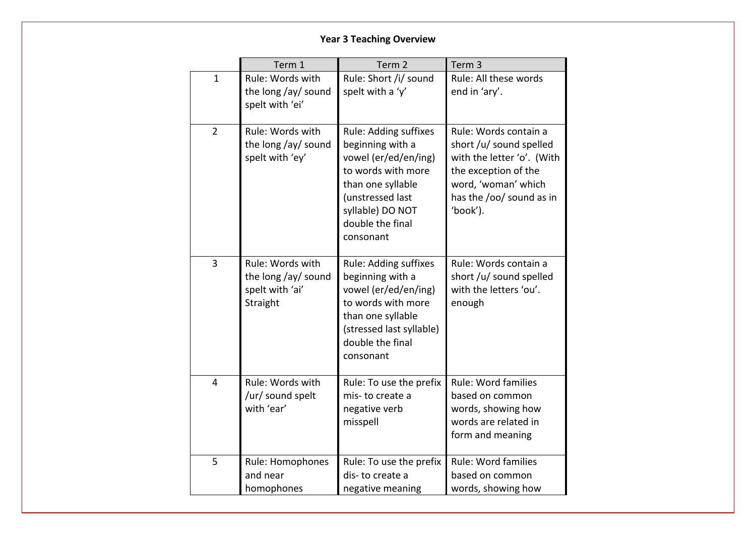# **Year 3 Teaching Overview**

|                | Term 1                                                                 | Term <sub>2</sub>                                                                                                                                                                     | Term <sub>3</sub>                                                                                                                                                     |
|----------------|------------------------------------------------------------------------|---------------------------------------------------------------------------------------------------------------------------------------------------------------------------------------|-----------------------------------------------------------------------------------------------------------------------------------------------------------------------|
| $\mathbf{1}$   | Rule: Words with<br>the long /ay/ sound<br>spelt with 'ei'             | Rule: Short /i/ sound<br>spelt with a 'y'                                                                                                                                             | Rule: All these words<br>end in 'ary'.                                                                                                                                |
| $\overline{2}$ | Rule: Words with<br>the long /ay/ sound<br>spelt with 'ey'             | Rule: Adding suffixes<br>beginning with a<br>vowel (er/ed/en/ing)<br>to words with more<br>than one syllable<br>(unstressed last<br>syllable) DO NOT<br>double the final<br>consonant | Rule: Words contain a<br>short /u/ sound spelled<br>with the letter 'o'. (With<br>the exception of the<br>word, 'woman' which<br>has the /oo/ sound as in<br>'book'). |
| $\overline{3}$ | Rule: Words with<br>the long /ay/ sound<br>spelt with 'ai'<br>Straight | Rule: Adding suffixes<br>beginning with a<br>vowel (er/ed/en/ing)<br>to words with more<br>than one syllable<br>(stressed last syllable)<br>double the final<br>consonant             | Rule: Words contain a<br>short /u/ sound spelled<br>with the letters 'ou'.<br>enough                                                                                  |
| 4              | Rule: Words with<br>/ur/ sound spelt<br>with 'ear'                     | Rule: To use the prefix<br>mis-to create a<br>negative verb<br>misspell                                                                                                               | Rule: Word families<br>based on common<br>words, showing how<br>words are related in<br>form and meaning                                                              |
| 5              | Rule: Homophones<br>and near<br>homophones                             | Rule: To use the prefix<br>dis-to create a<br>negative meaning                                                                                                                        | Rule: Word families<br>based on common<br>words, showing how                                                                                                          |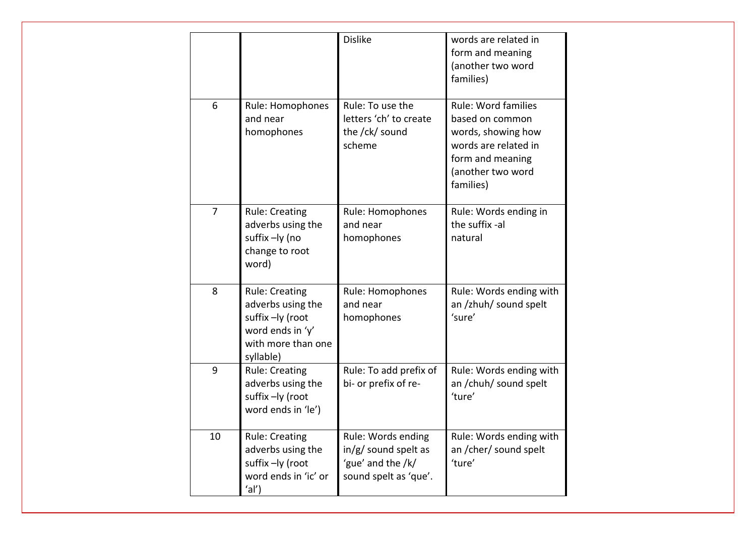|                |                                                                                                                       | <b>Dislike</b>                                                                             | words are related in<br>form and meaning<br>(another two word<br>families)                                                                        |
|----------------|-----------------------------------------------------------------------------------------------------------------------|--------------------------------------------------------------------------------------------|---------------------------------------------------------------------------------------------------------------------------------------------------|
| 6              | Rule: Homophones<br>and near<br>homophones                                                                            | Rule: To use the<br>letters 'ch' to create<br>the /ck/ sound<br>scheme                     | <b>Rule: Word families</b><br>based on common<br>words, showing how<br>words are related in<br>form and meaning<br>(another two word<br>families) |
| $\overline{7}$ | <b>Rule: Creating</b><br>adverbs using the<br>suffix -ly (no<br>change to root<br>word)                               | Rule: Homophones<br>and near<br>homophones                                                 | Rule: Words ending in<br>the suffix -al<br>natural                                                                                                |
| 8              | <b>Rule: Creating</b><br>adverbs using the<br>suffix -ly (root<br>word ends in 'y'<br>with more than one<br>syllable) | Rule: Homophones<br>and near<br>homophones                                                 | Rule: Words ending with<br>an /zhuh/ sound spelt<br>'sure'                                                                                        |
| 9              | <b>Rule: Creating</b><br>adverbs using the<br>suffix-ly (root<br>word ends in 'le')                                   | Rule: To add prefix of<br>bi- or prefix of re-                                             | Rule: Words ending with<br>an /chuh/ sound spelt<br>'ture'                                                                                        |
| 10             | <b>Rule: Creating</b><br>adverbs using the<br>suffix-ly (root<br>word ends in 'ic' or<br>$^{\prime}$ al')             | Rule: Words ending<br>$in/g/$ sound spelt as<br>'gue' and the /k/<br>sound spelt as 'que'. | Rule: Words ending with<br>an /cher/ sound spelt<br>'ture'                                                                                        |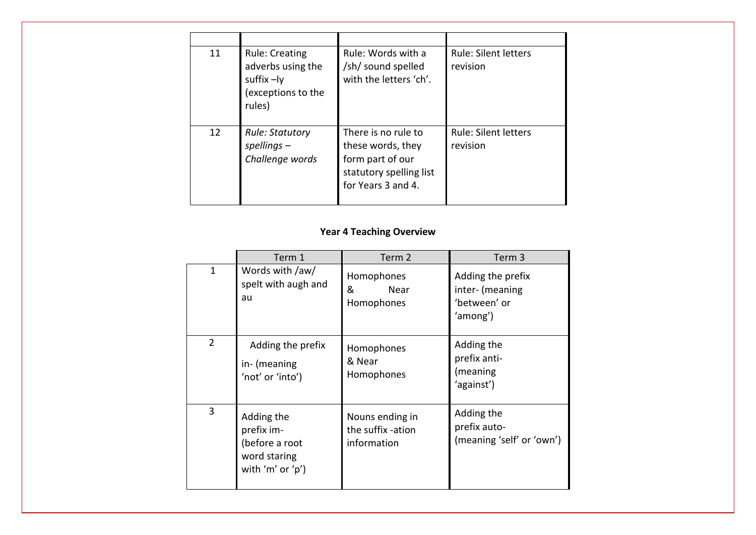| 11 | <b>Rule: Creating</b><br>adverbs using the<br>suffix $-1y$<br>(exceptions to the<br>rules) | Rule: Words with a<br>/sh/ sound spelled<br>with the letters 'ch'.                                            | <b>Rule: Silent letters</b><br>revision |
|----|--------------------------------------------------------------------------------------------|---------------------------------------------------------------------------------------------------------------|-----------------------------------------|
| 12 | <b>Rule: Statutory</b><br>$spellings -$<br>Challenge words                                 | There is no rule to<br>these words, they<br>form part of our<br>statutory spelling list<br>for Years 3 and 4. | <b>Rule: Silent letters</b><br>revision |

## **Year 4 Teaching Overview**

|                | Term 1                                                                         | Term 2                                              | Term <sub>3</sub>                                                |
|----------------|--------------------------------------------------------------------------------|-----------------------------------------------------|------------------------------------------------------------------|
| $\mathbf{1}$   | Words with /aw/<br>spelt with augh and<br>au                                   | Homophones<br>&<br>Near<br>Homophones               | Adding the prefix<br>inter- (meaning<br>'between' or<br>'among') |
| $\overline{2}$ | Adding the prefix<br>in- (meaning<br>'not' or 'into')                          | Homophones<br>& Near<br>Homophones                  | Adding the<br>prefix anti-<br>(meaning<br>'against')             |
| 3              | Adding the<br>prefix im-<br>(before a root<br>word staring<br>with 'm' or 'p') | Nouns ending in<br>the suffix -ation<br>information | Adding the<br>prefix auto-<br>(meaning 'self' or 'own')          |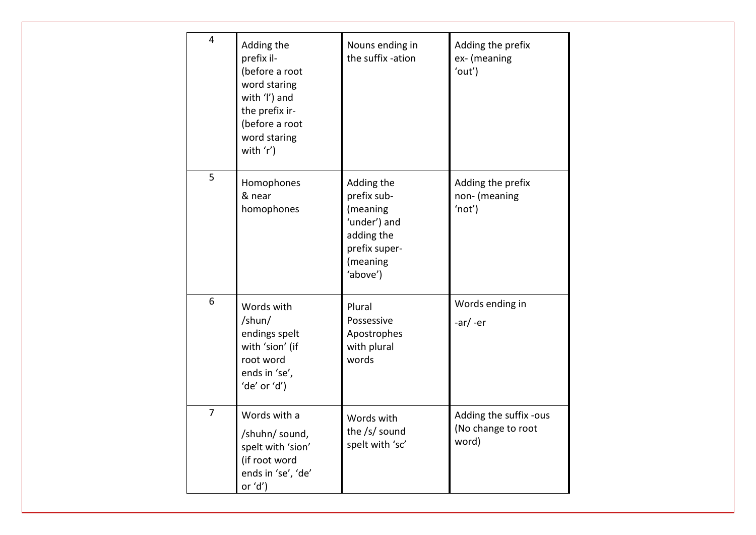| 4              | Adding the<br>prefix il-<br>(before a root<br>word staring<br>with 'l') and<br>the prefix ir-<br>(before a root<br>word staring<br>with 'r') | Nouns ending in<br>the suffix -ation                                                                         | Adding the prefix<br>ex- (meaning<br>'out')           |
|----------------|----------------------------------------------------------------------------------------------------------------------------------------------|--------------------------------------------------------------------------------------------------------------|-------------------------------------------------------|
| 5              | Homophones<br>& near<br>homophones                                                                                                           | Adding the<br>prefix sub-<br>(meaning<br>'under') and<br>adding the<br>prefix super-<br>(meaning<br>'above') | Adding the prefix<br>non- (meaning<br>'not')          |
| 6              | Words with<br>/shun/<br>endings spelt<br>with 'sion' (if<br>root word<br>ends in 'se',<br>'de' or 'd')                                       | Plural<br>Possessive<br>Apostrophes<br>with plural<br>words                                                  | Words ending in<br>$-ar/ -er$                         |
| $\overline{7}$ | Words with a<br>/shuhn/ sound,<br>spelt with 'sion'<br>(if root word<br>ends in 'se', 'de'<br>or $'d'$ )                                     | Words with<br>the /s/ sound<br>spelt with 'sc'                                                               | Adding the suffix -ous<br>(No change to root<br>word) |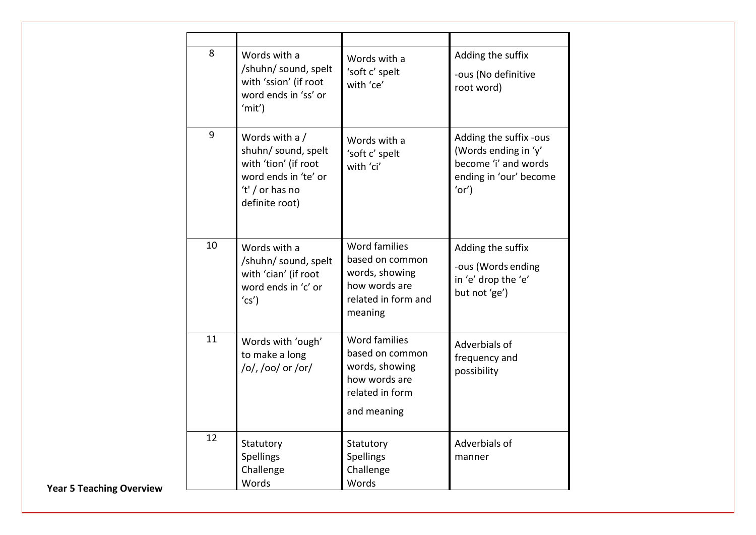| 8  | Words with a<br>/shuhn/ sound, spelt<br>with 'ssion' (if root<br>word ends in 'ss' or<br>'mit')                            | Words with a<br>'soft c' spelt<br>with 'ce'                                                                  | Adding the suffix<br>-ous (No definitive<br>root word)                                                   |
|----|----------------------------------------------------------------------------------------------------------------------------|--------------------------------------------------------------------------------------------------------------|----------------------------------------------------------------------------------------------------------|
| 9  | Words with a /<br>shuhn/ sound, spelt<br>with 'tion' (if root<br>word ends in 'te' or<br>'t' / or has no<br>definite root) | Words with a<br>'soft c' spelt<br>with 'ci'                                                                  | Adding the suffix -ous<br>(Words ending in 'y'<br>become 'i' and words<br>ending in 'our' become<br>'or' |
| 10 | Words with a<br>/shuhn/ sound, spelt<br>with 'cian' (if root<br>word ends in 'c' or<br>(c <sub>S</sub> )                   | <b>Word families</b><br>based on common<br>words, showing<br>how words are<br>related in form and<br>meaning | Adding the suffix<br>-ous (Words ending<br>in 'e' drop the 'e'<br>but not 'ge')                          |
| 11 | Words with 'ough'<br>to make a long<br>/o/, /oo/ or /or/                                                                   | <b>Word families</b><br>based on common<br>words, showing<br>how words are<br>related in form<br>and meaning | Adverbials of<br>frequency and<br>possibility                                                            |
| 12 | Statutory<br>Spellings<br>Challenge<br>Words                                                                               | Statutory<br>Spellings<br>Challenge<br>Words                                                                 | Adverbials of<br>manner                                                                                  |

**Year 5 Teaching Overview**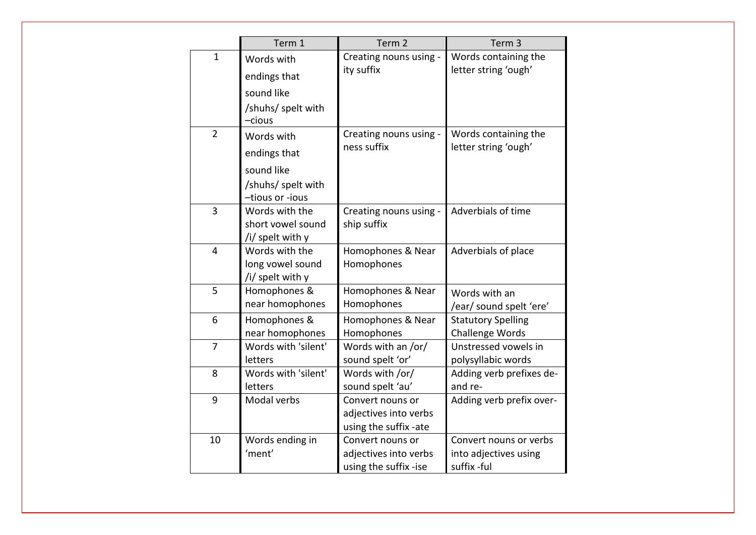|                | Term 1                                                                            | Term 2                                                             | Term <sub>3</sub>                                              |
|----------------|-----------------------------------------------------------------------------------|--------------------------------------------------------------------|----------------------------------------------------------------|
| $\mathbf{1}$   | Words with<br>endings that<br>sound like<br>/shuhs/ spelt with<br>-cious          | Creating nouns using -<br>ity suffix                               | Words containing the<br>letter string 'ough'                   |
| $\overline{2}$ | Words with<br>endings that<br>sound like<br>/shuhs/ spelt with<br>-tious or -ious | Creating nouns using -<br>ness suffix                              | Words containing the<br>letter string 'ough'                   |
| 3              | Words with the<br>short vowel sound<br>/i/ spelt with y                           | Creating nouns using -<br>ship suffix                              | Adverbials of time                                             |
| $\overline{4}$ | Words with the<br>long vowel sound<br>/i/ spelt with y                            | Homophones & Near<br>Homophones                                    | Adverbials of place                                            |
| 5              | Homophones &<br>near homophones                                                   | Homophones & Near<br>Homophones                                    | Words with an<br>/ear/ sound spelt 'ere'                       |
| 6              | Homophones &<br>near homophones                                                   | Homophones & Near<br>Homophones                                    | <b>Statutory Spelling</b><br>Challenge Words                   |
| 7              | Words with 'silent'<br>letters                                                    | Words with an /or/<br>sound spelt 'or'                             | Unstressed vowels in<br>polysyllabic words                     |
| 8              | Words with 'silent'<br>letters                                                    | Words with /or/<br>sound spelt 'au'                                | Adding verb prefixes de-<br>and re-                            |
| 9              | Modal verbs                                                                       | Convert nouns or<br>adjectives into verbs<br>using the suffix -ate | Adding verb prefix over-                                       |
| 10             | Words ending in<br>'ment'                                                         | Convert nouns or<br>adjectives into verbs<br>using the suffix -ise | Convert nouns or verbs<br>into adjectives using<br>suffix -ful |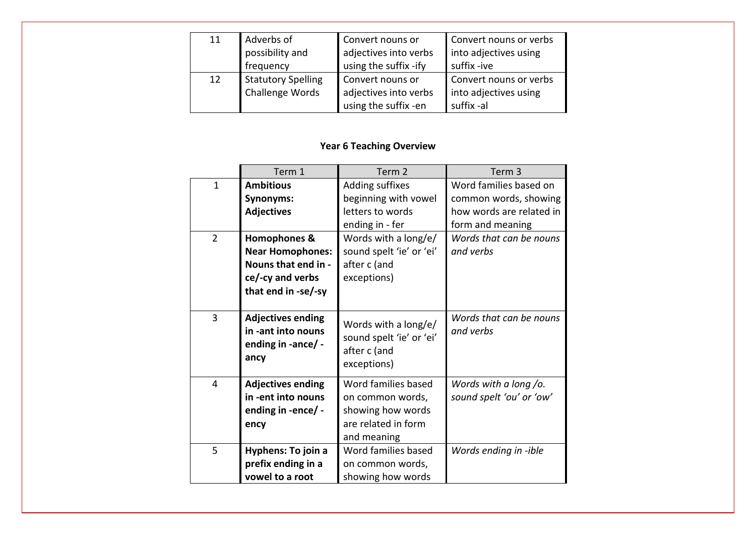| 11 | Adverbs of                | Convert nouns or      | Convert nouns or verbs |
|----|---------------------------|-----------------------|------------------------|
|    | possibility and           | adjectives into verbs | into adjectives using  |
|    | frequency                 | using the suffix -ify | suffix -ive            |
| 12 | <b>Statutory Spelling</b> | Convert nouns or      | Convert nouns or verbs |
|    | Challenge Words           | adjectives into verbs | into adjectives using  |
|    |                           | using the suffix -en  | suffix-al              |

## **Year 6 Teaching Overview**

|                | Term 1                                                                       | Term <sub>2</sub>                                                               | Term <sub>3</sub>                    |
|----------------|------------------------------------------------------------------------------|---------------------------------------------------------------------------------|--------------------------------------|
| $\mathbf{1}$   | <b>Ambitious</b>                                                             | Adding suffixes                                                                 | Word families based on               |
|                | <b>Synonyms:</b>                                                             | beginning with vowel                                                            | common words, showing                |
|                | <b>Adjectives</b>                                                            | letters to words                                                                | how words are related in             |
|                |                                                                              | ending in - fer                                                                 | form and meaning                     |
| $\overline{2}$ | <b>Homophones &amp;</b>                                                      | Words with a long/e/                                                            | Words that can be nouns              |
|                | <b>Near Homophones:</b>                                                      | sound spelt 'ie' or 'ei'                                                        | and verbs                            |
|                | Nouns that end in -                                                          | after c (and                                                                    |                                      |
|                | ce/-cy and verbs                                                             | exceptions)                                                                     |                                      |
|                | that end in -se/-sy                                                          |                                                                                 |                                      |
|                |                                                                              |                                                                                 |                                      |
| 3              | <b>Adjectives ending</b><br>in -ant into nouns<br>ending in -ance/ -<br>ancy | Words with a long/e/<br>sound spelt 'ie' or 'ei'<br>after c (and<br>exceptions) | Words that can be nouns<br>and verbs |
| $\overline{4}$ | <b>Adjectives ending</b>                                                     | Word families based                                                             | Words with a long /o.                |
|                | in -ent into nouns                                                           | on common words,                                                                | sound spelt 'ou' or 'ow'             |
|                | ending in -ence/ -                                                           | showing how words                                                               |                                      |
|                | ency                                                                         | are related in form                                                             |                                      |
|                |                                                                              | and meaning                                                                     |                                      |
| 5              | Hyphens: To join a                                                           | Word families based                                                             | Words ending in -ible                |
|                | prefix ending in a                                                           | on common words,                                                                |                                      |
|                | vowel to a root                                                              | showing how words                                                               |                                      |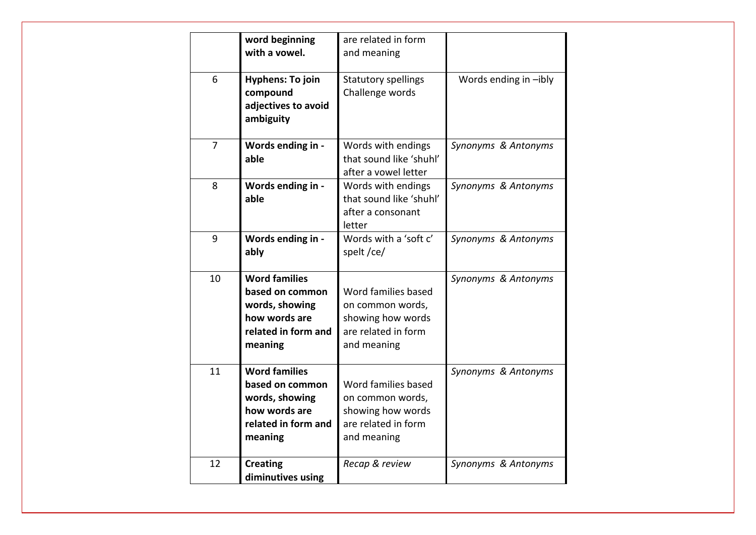|                | word beginning<br>with a vowel.                                                                              | are related in form<br>and meaning                                                                 |                       |
|----------------|--------------------------------------------------------------------------------------------------------------|----------------------------------------------------------------------------------------------------|-----------------------|
| 6              | <b>Hyphens: To join</b><br>compound<br>adjectives to avoid<br>ambiguity                                      | <b>Statutory spellings</b><br>Challenge words                                                      | Words ending in -ibly |
| $\overline{7}$ | Words ending in -<br>able                                                                                    | Words with endings<br>that sound like 'shuhl'<br>after a vowel letter                              | Synonyms & Antonyms   |
| 8              | Words ending in -<br>able                                                                                    | Words with endings<br>that sound like 'shuhl'<br>after a consonant<br>letter                       | Synonyms & Antonyms   |
| 9              | Words ending in -<br>ably                                                                                    | Words with a 'soft c'<br>spelt/ce/                                                                 | Synonyms & Antonyms   |
| 10             | <b>Word families</b><br>based on common<br>words, showing<br>how words are<br>related in form and<br>meaning | Word families based<br>on common words,<br>showing how words<br>are related in form<br>and meaning | Synonyms & Antonyms   |
| 11             | <b>Word families</b><br>based on common<br>words, showing<br>how words are<br>related in form and<br>meaning | Word families based<br>on common words,<br>showing how words<br>are related in form<br>and meaning | Synonyms & Antonyms   |
| 12             | <b>Creating</b><br>diminutives using                                                                         | Recap & review                                                                                     | Synonyms & Antonyms   |